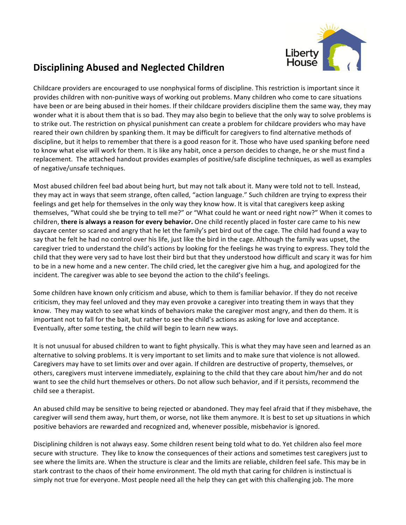

## **Disciplining Abused and Neglected Children**

Childcare providers are encouraged to use nonphysical forms of discipline. This restriction is important since it provides children with non-punitive ways of working out problems. Many children who come to care situations have been or are being abused in their homes. If their childcare providers discipline them the same way, they may wonder what it is about them that is so bad. They may also begin to believe that the only way to solve problems is to strike out. The restriction on physical punishment can create a problem for childcare providers who may have reared their own children by spanking them. It may be difficult for caregivers to find alternative methods of discipline, but it helps to remember that there is a good reason for it. Those who have used spanking before need to know what else will work for them. It is like any habit, once a person decides to change, he or she must find a replacement. The attached handout provides examples of positive/safe discipline techniques, as well as examples of negative/unsafe techniques.

Most abused children feel bad about being hurt, but may not talk about it. Many were told not to tell. Instead, they may act in ways that seem strange, often called, "action language." Such children are trying to express their feelings and get help for themselves in the only way they know how. It is vital that caregivers keep asking themselves, "What could she be trying to tell me?" or "What could he want or need right now?" When it comes to children, there is always a reason for every behavior. One child recently placed in foster care came to his new daycare center so scared and angry that he let the family's pet bird out of the cage. The child had found a way to say that he felt he had no control over his life, just like the bird in the cage. Although the family was upset, the caregiver tried to understand the child's actions by looking for the feelings he was trying to express. They told the child that they were very sad to have lost their bird but that they understood how difficult and scary it was for him to be in a new home and a new center. The child cried, let the caregiver give him a hug, and apologized for the incident. The caregiver was able to see beyond the action to the child's feelings.

Some children have known only criticism and abuse, which to them is familiar behavior. If they do not receive criticism, they may feel unloved and they may even provoke a caregiver into treating them in ways that they know. They may watch to see what kinds of behaviors make the caregiver most angry, and then do them. It is important not to fall for the bait, but rather to see the child's actions as asking for love and acceptance. Eventually, after some testing, the child will begin to learn new ways.

It is not unusual for abused children to want to fight physically. This is what they may have seen and learned as an alternative to solving problems. It is very important to set limits and to make sure that violence is not allowed. Caregivers may have to set limits over and over again. If children are destructive of property, themselves, or others, caregivers must intervene immediately, explaining to the child that they care about him/her and do not want to see the child hurt themselves or others. Do not allow such behavior, and if it persists, recommend the child see a therapist.

An abused child may be sensitive to being rejected or abandoned. They may feel afraid that if they misbehave, the caregiver will send them away, hurt them, or worse, not like them anymore. It is best to set up situations in which positive behaviors are rewarded and recognized and, whenever possible, misbehavior is ignored.

Disciplining children is not always easy. Some children resent being told what to do. Yet children also feel more secure with structure. They like to know the consequences of their actions and sometimes test caregivers just to see where the limits are. When the structure is clear and the limits are reliable, children feel safe. This may be in stark contrast to the chaos of their home environment. The old myth that caring for children is instinctual is simply not true for everyone. Most people need all the help they can get with this challenging job. The more